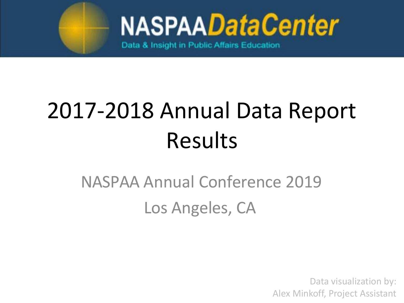

Data & Insight in Public Affairs Education

# 2017-2018 Annual Data Report Results

#### NASPAA Annual Conference 2019 Los Angeles, CA

Data visualization by: Alex Minkoff, Project Assistant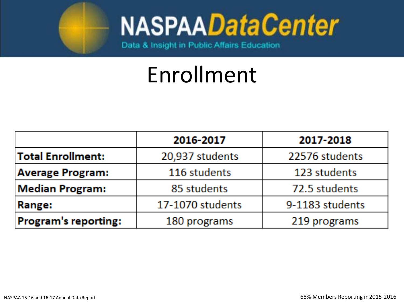

Data & Insight in Public Affairs Education

## Enrollment

|                         | 2016-2017        | 2017-2018       |
|-------------------------|------------------|-----------------|
| Total Enrollment:       | 20,937 students  | 22576 students  |
| <b>Average Program:</b> | 116 students     | 123 students    |
| <b>Median Program:</b>  | 85 students      | 72.5 students   |
| Range:                  | 17-1070 students | 9-1183 students |
| Program's reporting:    | 180 programs     | 219 programs    |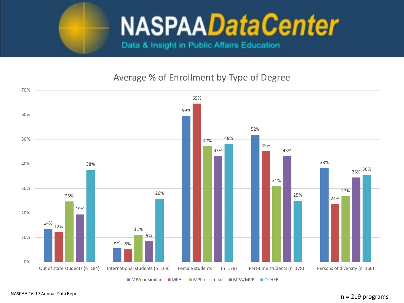

Data & Insight in Public Affairs Education

#### Average % of Enrollment by Type of Degree

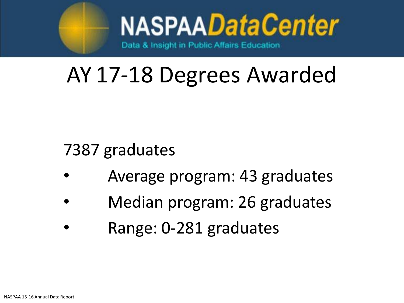

## AY 17-18 Degrees Awarded

7387 graduates

- Average program: 43 graduates
- Median program: 26 graduates
- Range: 0-281 graduates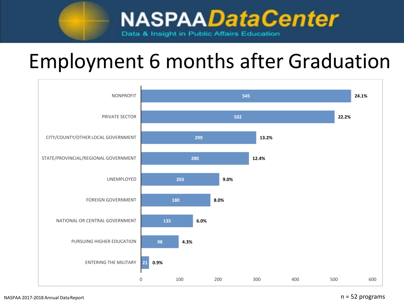#### Employment 6 months after Graduation

Data & Insight in Public Affairs Education

**NASPAADataCenter** 



#### n = 52 programs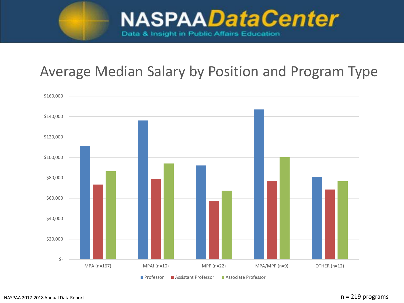

#### Average Median Salary by Position and Program Type